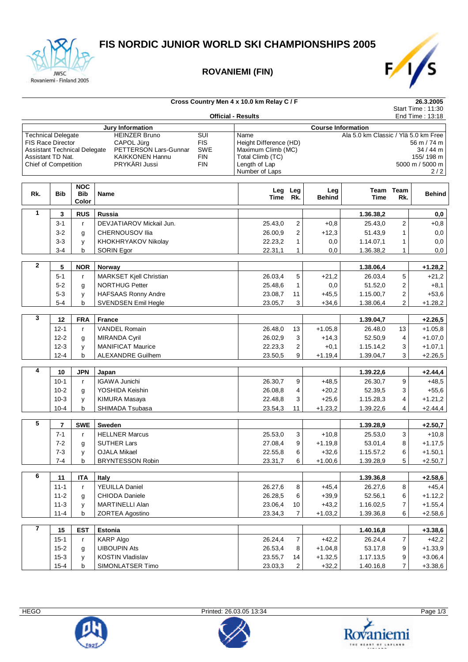

#### **ROVANIEMI (FIN)**



#### **Cross Country Men 4 x 10.0 km Relay C / F 26.3.2005** Start Time : 11:30 **Official - Results** End Time : 13:18 **Jury Information Course Information** Technical Delegate HEINZER Bruno SUI Name Ala 5.0 km Classic / Ylä 5.0 km Free FIS Race Director CAPOL Jürg FIS Height Difference (HD) 56 m / 74 m<br>Assistant Technical Delegate PETTERSON Lars-Gunnar SWE Maximum Climb (MC) 34 / 44 m Assistant Technical Delegate PETTERSON Lars-Gunnar SWE Maximum Climb (MC) 34 / 44 m<br>Assistant TD Nat. KAIKKONEN Hannu FIN Total Climb (TC) 155/ 198 m Assistant TD Nat. KAIKKONEN Hannu FIN Total Climb (TC) 155/ 198 m Chief of Competition Number of Laps 2/2 **Rk. Bib NOC Bib Color Name Leg Time Leg Rk. Leg Behind Team Time Team Rk. Behind 1 3 RUS Russia 1.36.38,2 0,0** 3-1 r DEVJATIAROV Mickail Jun. 25.43,0 2 +0,8 25.43,0 2 +0,8 3-2 g CHERNOUSOV Ilia **26.00,9 2** +12,3 51.43,9 1 0,0 3-3 y KHOKHRYAKOV Nikolay 22.23,2 1 0,0 1.14.07,1 1 0,0 **a b** SORIN Egor **22.31,1 1** 0,0 1.36.38,2 1 0,0  **2 5 NOR Norway 1.38.06,4 +1.28,2** 5-1 r MARKSET Kjell Christian 26.03,4 5 +21,2 26.03,4 5 +21,2 5-2 g NORTHUG Petter 25.48,6 1 0,0 51.52,0 2 +8,1 5-3 y HAFSAAS Ronny Andre 23.08,7 11 +45,5 1.15.00,7 2 +53,6 5-4 b SVENDSEN Emil Hegle 23.05,7 3 +34,6 1.38.06,4 2 +1.28,2  **3 12 FRA France 1.39.04,7 +2.26,5** 12-1 r VANDEL Romain 26.48,0 13 +1.05,8 26.48,0 13 +1.05,8 12-2 g MIRANDA Cyril 26.02,9 3 +14,3 52.50,9 4 +1.07,0 12-3 y MANIFICAT Maurice 20.23,3 2 +0,1 1.15.14,2 3 +1.07,1 12-4 b ALEXANDRE Guilhem 23.50,5 9 +1.19,4 1.39.04,7 3 +2.26,5  **4 10 JPN Japan 1.39.22,6 +2.44,4** 10-1 r IGAWA Junichi 26.30,7 9 +48,5 26.30,7 9 +48,5 10-2 g YOSHIDA Keishin **10-2 g YOSHIDA Keishin** 26.08,8 4 +20,2 52.39,5 3 +55,6 10-3 y KIMURA Masaya **22.48,8** 3 +25,6 1.15.28,3 4 +1.21,2 10-4 b SHIMADA Tsubasa **23.54,3** 11 +1.23,2 1.39.22,6 4 +2.44,4  **5 7 SWE Sweden 1.39.28,9 +2.50,7** 7-1 r HELLNER Marcus 25.53,0 3 +10,8 25.53,0 3 +10,8 7-2 g SUTHER Lars 27.08,4 9 +1.19,8 53.01,4 8 +1.17,5 7-3 y OJALA Mikael 22.55,8 6 +32,6 1.15.57,2 6 +1.50,1 7-4 b BRYNTESSON Robin 23.31,7 6 +1.00,6 1.39.28,9 5 +2.50,7  **6 11 ITA Italy 1.39.36,8 +2.58,6** 11-1 r YEUILLA Daniel 26.27,6 8 +45,4 26.27,6 8 +45,4 11-2 g CHIODA Daniele 26.28,5 6 +39,9 52.56,1 6 +1.12,2 11-3 y MARTINELLI Alan 23.06,4 10 +43,2 1.16.02,5 7 +1.55,4 11-4 b ZORTEA Agostino 23.34,3 7 +1.03,2 1.39.36,8 6 +2.58,6  **7 15 EST Estonia 1.40.16,8 +3.38,6** 15-1 r KARP Algo 26.24,4 7 +42,2 26.24,4 7 +42,2 15-2 g UIBOUPIN Ats 26.53,4 8 +1.04,8 53.17,8 9 +1.33,9 15-3 y KOSTIN Vladislav 23.55,7 14 +1.32,5 1.17.13,5 9 +3.06,4





15-4 b SIMONLATSER Timo 23.03,3 2 +32,2 1.40.16,8 7 +3.38,6

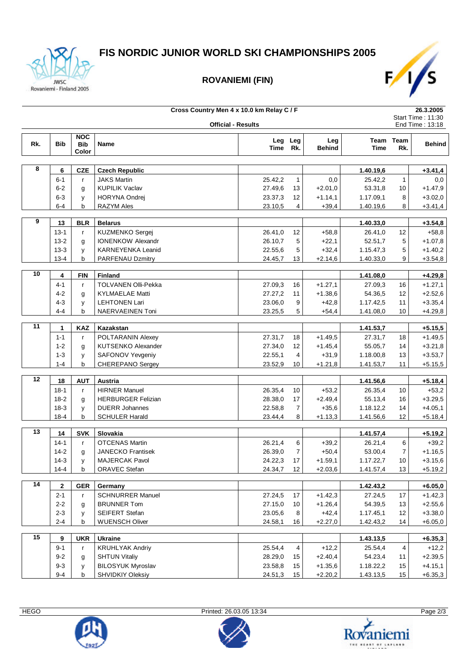

# **FIS NORDIC JUNIOR WORLD SKI CHAMPIONSHIPS 2005**

### **ROVANIEMI (FIN)**



| Cross Country Men 4 x 10.0 km Relay C / F |                           |              |                           |             |                |               | 26.3.2005 |                   |                 |
|-------------------------------------------|---------------------------|--------------|---------------------------|-------------|----------------|---------------|-----------|-------------------|-----------------|
|                                           |                           |              |                           |             |                |               |           | Start Time: 11:30 |                 |
|                                           | <b>Official - Results</b> |              |                           |             |                |               |           |                   | End Time: 13:18 |
|                                           |                           | <b>NOC</b>   |                           | Leg         | Leg            | Leg           |           | Team Team         |                 |
| Rk.                                       | <b>Bib</b>                | <b>Bib</b>   | Name                      | <b>Time</b> | Rk.            | <b>Behind</b> | Time      | Rk.               | <b>Behind</b>   |
|                                           |                           | Color        |                           |             |                |               |           |                   |                 |
|                                           |                           |              |                           |             |                |               |           |                   |                 |
| 8                                         | 6                         | <b>CZE</b>   | <b>Czech Republic</b>     |             |                |               | 1.40.19,6 |                   | $+3.41,4$       |
|                                           | $6 - 1$                   | r            | <b>JAKS Martin</b>        | 25.42,2     | $\mathbf{1}$   | 0,0           | 25.42,2   | 1                 | 0,0             |
|                                           | $6 - 2$                   | g            | <b>KUPILIK Vaclav</b>     | 27.49,6     | 13             | $+2.01,0$     | 53.31,8   | 10                | $+1.47,9$       |
|                                           | $6 - 3$                   | у            | <b>HORYNA Ondrej</b>      | 23.37,3     | 12             | $+1.14,1$     | 1.17.09,1 | 8                 | $+3.02,0$       |
|                                           | $6-4$                     | b            | RAZYM Ales                | 23.10,5     | 4              | $+39,4$       | 1.40.19,6 | 8                 | $+3.41,4$       |
|                                           |                           |              |                           |             |                |               |           |                   |                 |
| 9                                         | 13                        | <b>BLR</b>   | <b>Belarus</b>            |             |                |               | 1.40.33,0 |                   | $+3.54,8$       |
|                                           | $13 - 1$                  | r            | KUZMENKO Sergej           | 26.41,0     | 12             | $+58,8$       | 26.41,0   | 12                | $+58,8$         |
|                                           | $13 - 2$                  | g            | <b>IONENKOW Alexandr</b>  | 26.10,7     | 5              | $+22,1$       | 52.51,7   | 5                 | $+1.07,8$       |
|                                           | $13 - 3$                  | y            | <b>KARNEYENKA Leanid</b>  | 22.55,6     | 5              | $+32,4$       | 1.15.47,3 | 5                 | $+1.40,2$       |
|                                           | $13 - 4$                  | b            | PARFENAU Dzmitry          | 24.45,7     | 13             | $+2.14,6$     | 1.40.33,0 | 9                 | $+3.54,8$       |
|                                           |                           |              |                           |             |                |               |           |                   |                 |
| 10                                        | 4                         | <b>FIN</b>   | <b>Finland</b>            |             |                |               | 1.41.08,0 |                   | $+4.29,8$       |
|                                           | $4 - 1$                   | r            | TOLVANEN Olli-Pekka       | 27.09,3     | 16             | $+1.27,1$     | 27.09,3   | 16                | $+1.27,1$       |
|                                           | $4 - 2$                   | g            | <b>KYLMAELAE Matti</b>    | 27.27,2     | 11             | $+1.38,6$     | 54.36,5   | 12                | $+2.52,6$       |
|                                           | $4 - 3$                   | у            | <b>LEHTONEN Lari</b>      | 23.06,0     | 9              | $+42,8$       | 1.17.42,5 | 11                | $+3.35,4$       |
|                                           | $4 - 4$                   | b            | NAERVAEINEN Toni          | 23.25,5     | 5              | $+54,4$       | 1.41.08,0 | 10                | $+4.29,8$       |
|                                           |                           |              |                           |             |                |               |           |                   |                 |
| $\overline{11}$                           | 1                         | KAZ          | Kazakstan                 |             |                |               | 1.41.53,7 |                   | $+5.15,5$       |
|                                           | $1 - 1$                   | r            | POLTARANIN Alexey         | 27.31,7     | 18             | $+1.49,5$     | 27.31,7   | 18                | $+1.49,5$       |
|                                           | $1 - 2$                   | g            | <b>KUTSENKO Alexander</b> | 27.34,0     | 12             | $+1.45,4$     | 55.05,7   | 14                | $+3.21,8$       |
|                                           | $1 - 3$                   | у            | SAFONOV Yevgeniy          | 22.55,1     | 4              | $+31,9$       | 1.18.00,8 | 13                | $+3.53,7$       |
|                                           | $1 - 4$                   | b            | CHEREPANO Sergey          | 23.52,9     | 10             | $+1.21,8$     | 1.41.53,7 | 11                | $+5.15,5$       |
|                                           |                           |              |                           |             |                |               |           |                   |                 |
| 12                                        | 18                        | <b>AUT</b>   | Austria                   |             |                |               | 1.41.56,6 |                   | $+5.18,4$       |
|                                           | $18 - 1$                  | $\mathbf{r}$ | <b>HIRNER Manuel</b>      | 26.35,4     | 10             | $+53,2$       | 26.35,4   | 10                | $+53,2$         |
|                                           | $18 - 2$                  | g            | <b>HERBURGER Felizian</b> | 28.38,0     | 17             | $+2.49,4$     | 55.13,4   | 16                | $+3.29,5$       |
|                                           | $18-3$                    | у            | <b>DUERR Johannes</b>     | 22.58,8     | 7              | $+35,6$       | 1.18.12,2 | 14                | $+4.05,1$       |
|                                           | $18 - 4$                  | b            | <b>SCHULER Harald</b>     | 23.44,4     | 8              | $+1.13,3$     | 1.41.56,6 | 12                | $+5.18,4$       |
|                                           |                           |              |                           |             |                |               |           |                   |                 |
| 13                                        | 14                        | <b>SVK</b>   | Slovakia                  |             |                |               | 1.41.57,4 |                   | $+5.19,2$       |
|                                           | $14 - 1$                  | r            | <b>OTCENAS Martin</b>     | 26.21,4     | 6              | $+39,2$       | 26.21,4   | 6                 | $+39,2$         |
|                                           | $14 - 2$                  | g            | <b>JANECKO Frantisek</b>  | 26.39,0     | $\overline{7}$ | $+50,4$       | 53.00,4   | $\overline{7}$    | $+1.16,5$       |
|                                           | $14-3$                    | у            | <b>MAJERCAK Pavol</b>     | 24.22,3     | 17             | $+1.59,1$     | 1.17.22,7 | 10                | $+3.15,6$       |
|                                           | $14 - 4$                  | b            | ORAVEC Stefan             | 24.34,7     | 12             | $+2.03,6$     | 1.41.57,4 | 13                | $+5.19,2$       |
|                                           |                           |              |                           |             |                |               |           |                   |                 |
| 14                                        | 2                         | <b>GER</b>   | Germany                   |             |                |               | 1.42.43,2 |                   | $+6.05,0$       |
|                                           | $2 - 1$                   | r            | <b>SCHNURRER Manuel</b>   | 27.24,5     | 17             | $+1.42,3$     | 27.24,5   | 17                | $+1.42,3$       |
|                                           | $2 - 2$                   | g            | <b>BRUNNER Tom</b>        | 27.15,0     | 10             | $+1.26,4$     | 54.39,5   | 13                | $+2.55,6$       |
|                                           | $2 - 3$                   | у            | SEIFERT Stefan            | 23.05,6     | 8              | $+42,4$       | 1.17.45,1 | 12                | $+3.38,0$       |
|                                           | $2 - 4$                   | b            | <b>WUENSCH Oliver</b>     | 24.58,1     | 16             | $+2.27,0$     | 1.42.43,2 | 14                | $+6.05,0$       |
|                                           |                           |              |                           |             |                |               |           |                   |                 |
| 15                                        | 9                         | <b>UKR</b>   | <b>Ukraine</b>            |             |                |               | 1.43.13,5 |                   | $+6.35,3$       |
|                                           | $9 - 1$                   | r            | <b>KRUHLYAK Andriy</b>    | 25.54,4     | 4              | $+12,2$       | 25.54,4   | 4                 | $+12,2$         |
|                                           | $9 - 2$                   | g            | <b>SHTUN Vitaliy</b>      | 28.29,0     | 15             | $+2.40,4$     | 54.23,4   | 11                | $+2.39,5$       |
|                                           | $9 - 3$                   | у            | <b>BILOSYUK Myroslav</b>  | 23.58,8     | 15             | $+1.35,6$     | 1.18.22,2 | 15                | $+4.15,1$       |
|                                           | $9 - 4$                   | b            | <b>SHVIDKIY Oleksiy</b>   | 24.51,3     | 15             | $+2.20,2$     | 1.43.13,5 | 15                | $+6.35,3$       |